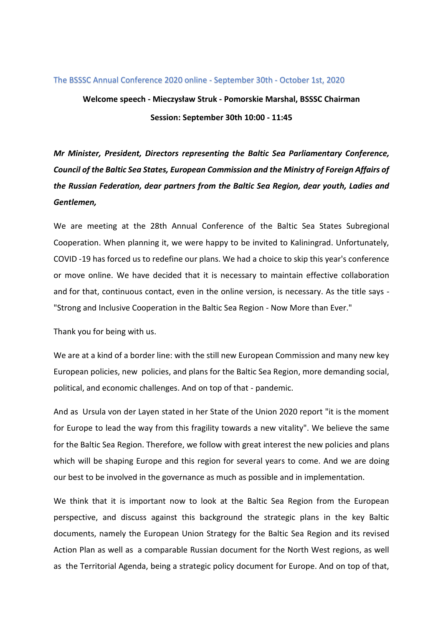## The BSSSC Annual Conference 2020 online - September 30th - October 1st, 2020

**Welcome speech - Mieczysław Struk - Pomorskie Marshal, BSSSC Chairman Session: September 30th 10:00 - 11:45**

*Mr Minister, President, Directors representing the Baltic Sea Parliamentary Conference, Council of the Baltic Sea States, European Commission and the Ministry of Foreign Affairs of the Russian Federation, dear partners from the Baltic Sea Region, dear youth, Ladies and Gentlemen,*

We are meeting at the 28th Annual Conference of the Baltic Sea States Subregional Cooperation. When planning it, we were happy to be invited to Kaliningrad. Unfortunately, COVID -19 has forced us to redefine our plans. We had a choice to skip this year's conference or move online. We have decided that it is necessary to maintain effective collaboration and for that, continuous contact, even in the online version, is necessary. As the title says - "Strong and Inclusive Cooperation in the Baltic Sea Region - Now More than Ever."

Thank you for being with us.

We are at a kind of a border line: with the still new European Commission and many new key European policies, new policies, and plans for the Baltic Sea Region, more demanding social, political, and economic challenges. And on top of that - pandemic.

And as Ursula von der Layen stated in her State of the Union 2020 report "it is the moment for Europe to lead the way from this fragility towards a new vitality". We believe the same for the Baltic Sea Region. Therefore, we follow with great interest the new policies and plans which will be shaping Europe and this region for several years to come. And we are doing our best to be involved in the governance as much as possible and in implementation.

We think that it is important now to look at the Baltic Sea Region from the European perspective, and discuss against this background the strategic plans in the key Baltic documents, namely the European Union Strategy for the Baltic Sea Region and its revised Action Plan as well as a comparable Russian document for the North West regions, as well as the Territorial Agenda, being a strategic policy document for Europe. And on top of that,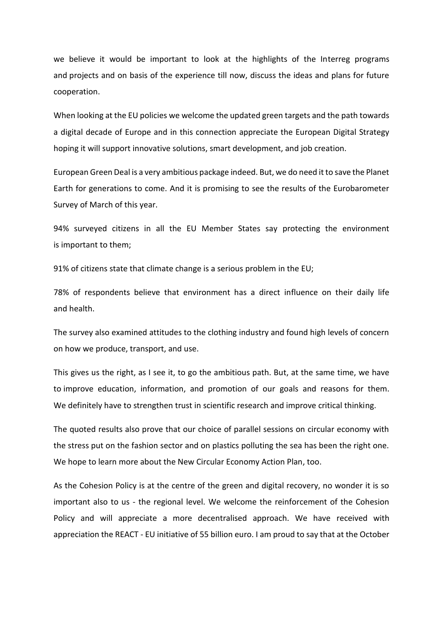we believe it would be important to look at the highlights of the Interreg programs and projects and on basis of the experience till now, discuss the ideas and plans for future cooperation.

When looking at the EU policies we welcome the updated green targets and the path towards a digital decade of Europe and in this connection appreciate the European Digital Strategy hoping it will support innovative solutions, smart development, and job creation.

European Green Deal is a very ambitious package indeed. But, we do need it to save the Planet Earth for generations to come. And it is promising to see the results of the Eurobarometer Survey of March of this year.

94% surveyed citizens in all the EU Member States say protecting the environment is important to them;

91% of citizens state that climate change is a serious problem in the EU;

78% of respondents believe that environment has a direct influence on their daily life and health.

The survey also examined attitudes to the clothing industry and found high levels of concern on how we produce, transport, and use.

This gives us the right, as I see it, to go the ambitious path. But, at the same time, we have to improve education, information, and promotion of our goals and reasons for them. We definitely have to strengthen trust in scientific research and improve critical thinking.

The quoted results also prove that our choice of parallel sessions on circular economy with the stress put on the fashion sector and on plastics polluting the sea has been the right one. We hope to learn more about the New Circular Economy Action Plan, too.

As the Cohesion Policy is at the centre of the green and digital recovery, no wonder it is so important also to us - the regional level. We welcome the reinforcement of the Cohesion Policy and will appreciate a more decentralised approach. We have received with appreciation the REACT - EU initiative of 55 billion euro. I am proud to say that at the October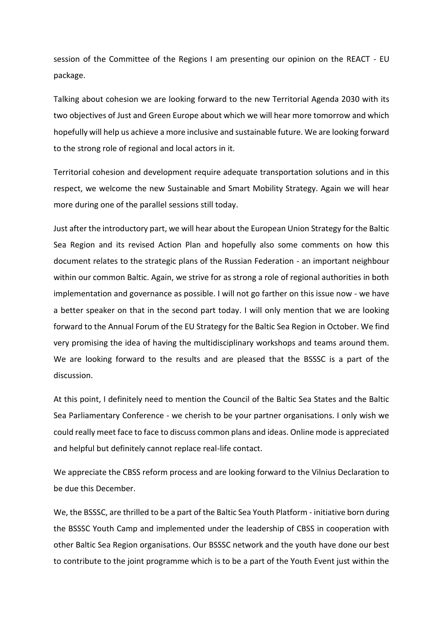session of the Committee of the Regions I am presenting our opinion on the REACT - EU package.

Talking about cohesion we are looking forward to the new Territorial Agenda 2030 with its two objectives of Just and Green Europe about which we will hear more tomorrow and which hopefully will help us achieve a more inclusive and sustainable future. We are looking forward to the strong role of regional and local actors in it.

Territorial cohesion and development require adequate transportation solutions and in this respect, we welcome the new Sustainable and Smart Mobility Strategy. Again we will hear more during one of the parallel sessions still today.

Just after the introductory part, we will hear about the European Union Strategy for the Baltic Sea Region and its revised Action Plan and hopefully also some comments on how this document relates to the strategic plans of the Russian Federation - an important neighbour within our common Baltic. Again, we strive for as strong a role of regional authorities in both implementation and governance as possible. I will not go farther on this issue now - we have a better speaker on that in the second part today. I will only mention that we are looking forward to the Annual Forum of the EU Strategy for the Baltic Sea Region in October. We find very promising the idea of having the multidisciplinary workshops and teams around them. We are looking forward to the results and are pleased that the BSSSC is a part of the discussion.

At this point, I definitely need to mention the Council of the Baltic Sea States and the Baltic Sea Parliamentary Conference - we cherish to be your partner organisations. I only wish we could really meet face to face to discuss common plans and ideas. Online mode is appreciated and helpful but definitely cannot replace real-life contact.

We appreciate the CBSS reform process and are looking forward to the Vilnius Declaration to be due this December.

We, the BSSSC, are thrilled to be a part of the Baltic Sea Youth Platform - initiative born during the BSSSC Youth Camp and implemented under the leadership of CBSS in cooperation with other Baltic Sea Region organisations. Our BSSSC network and the youth have done our best to contribute to the joint programme which is to be a part of the Youth Event just within the